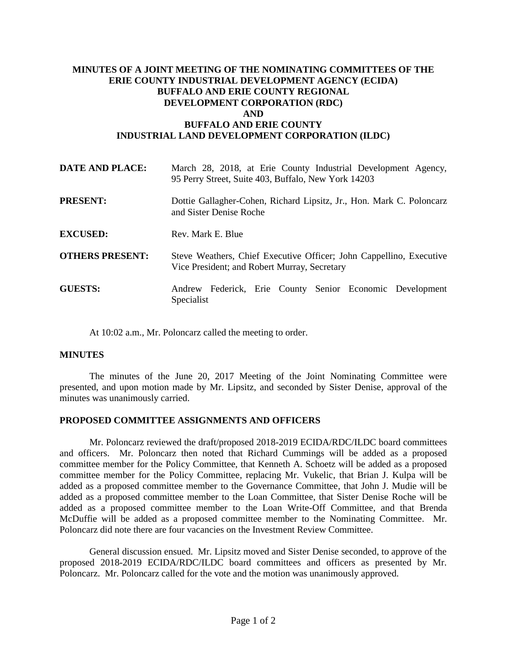## **MINUTES OF A JOINT MEETING OF THE NOMINATING COMMITTEES OF THE ERIE COUNTY INDUSTRIAL DEVELOPMENT AGENCY (ECIDA) BUFFALO AND ERIE COUNTY REGIONAL DEVELOPMENT CORPORATION (RDC) AND BUFFALO AND ERIE COUNTY INDUSTRIAL LAND DEVELOPMENT CORPORATION (ILDC)**

| <b>DATE AND PLACE:</b> | March 28, 2018, at Erie County Industrial Development Agency,<br>95 Perry Street, Suite 403, Buffalo, New York 14203 |
|------------------------|----------------------------------------------------------------------------------------------------------------------|
| <b>PRESENT:</b>        | Dottie Gallagher-Cohen, Richard Lipsitz, Jr., Hon. Mark C. Poloncarz<br>and Sister Denise Roche                      |
| <b>EXCUSED:</b>        | Rev. Mark E. Blue                                                                                                    |
| <b>OTHERS PRESENT:</b> | Steve Weathers, Chief Executive Officer; John Cappellino, Executive<br>Vice President; and Robert Murray, Secretary  |
| <b>GUESTS:</b>         | Andrew Federick, Erie County Senior Economic Development<br>Specialist                                               |

At 10:02 a.m., Mr. Poloncarz called the meeting to order.

## **MINUTES**

The minutes of the June 20, 2017 Meeting of the Joint Nominating Committee were presented, and upon motion made by Mr. Lipsitz, and seconded by Sister Denise, approval of the minutes was unanimously carried.

## **PROPOSED COMMITTEE ASSIGNMENTS AND OFFICERS**

Mr. Poloncarz reviewed the draft/proposed 2018-2019 ECIDA/RDC/ILDC board committees and officers. Mr. Poloncarz then noted that Richard Cummings will be added as a proposed committee member for the Policy Committee, that Kenneth A. Schoetz will be added as a proposed committee member for the Policy Committee, replacing Mr. Vukelic, that Brian J. Kulpa will be added as a proposed committee member to the Governance Committee, that John J. Mudie will be added as a proposed committee member to the Loan Committee, that Sister Denise Roche will be added as a proposed committee member to the Loan Write-Off Committee, and that Brenda McDuffie will be added as a proposed committee member to the Nominating Committee. Mr. Poloncarz did note there are four vacancies on the Investment Review Committee.

General discussion ensued. Mr. Lipsitz moved and Sister Denise seconded, to approve of the proposed 2018-2019 ECIDA/RDC/ILDC board committees and officers as presented by Mr. Poloncarz. Mr. Poloncarz called for the vote and the motion was unanimously approved.